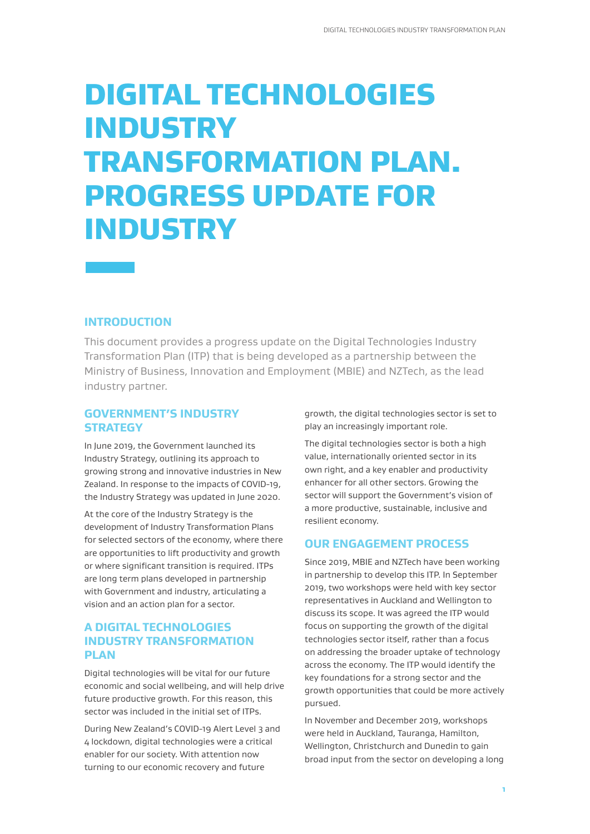# DIGITAL TECHNOLOGIES **INDUSTRY** TRANSFORMATION PLAN. PROGRESS UPDATE FOR **INDUSTRY**

## **INTRODUCTION**

This document provides a progress update on the Digital Technologies Industry Transformation Plan (ITP) that is being developed as a partnership between the Ministry of Business, Innovation and Employment (MBIE) and NZTech, as the lead industry partner.

## **GOVERNMENT'S INDUSTRY STRATEGY**

In June 2019, the Government launched its Industry Strategy, outlining its approach to growing strong and innovative industries in New Zealand. In response to the impacts of COVID-19, the Industry Strategy was updated in June 2020.

At the core of the Industry Strategy is the development of Industry Transformation Plans for selected sectors of the economy, where there are opportunities to lift productivity and growth or where significant transition is required. ITPs are long term plans developed in partnership with Government and industry, articulating a vision and an action plan for a sector.

## **A DIGITAL TECHNOLOGIES INDUSTRY TRANSFORMATION PLAN**

Digital technologies will be vital for our future economic and social wellbeing, and will help drive future productive growth. For this reason, this sector was included in the initial set of ITPs.

During New Zealand's COVID-19 Alert Level 3 and 4 lockdown, digital technologies were a critical enabler for our society. With attention now turning to our economic recovery and future

growth, the digital technologies sector is set to play an increasingly important role.

The digital technologies sector is both a high value, internationally oriented sector in its own right, and a key enabler and productivity enhancer for all other sectors. Growing the sector will support the Government's vision of a more productive, sustainable, inclusive and resilient economy.

## **OUR ENGAGEMENT PROCESS**

Since 2019, MBIE and NZTech have been working in partnership to develop this ITP. In September 2019, two workshops were held with key sector representatives in Auckland and Wellington to discuss its scope. It was agreed the ITP would focus on supporting the growth of the digital technologies sector itself, rather than a focus on addressing the broader uptake of technology across the economy. The ITP would identify the key foundations for a strong sector and the growth opportunities that could be more actively pursued.

In November and December 2019, workshops were held in Auckland, Tauranga, Hamilton, Wellington, Christchurch and Dunedin to gain broad input from the sector on developing a long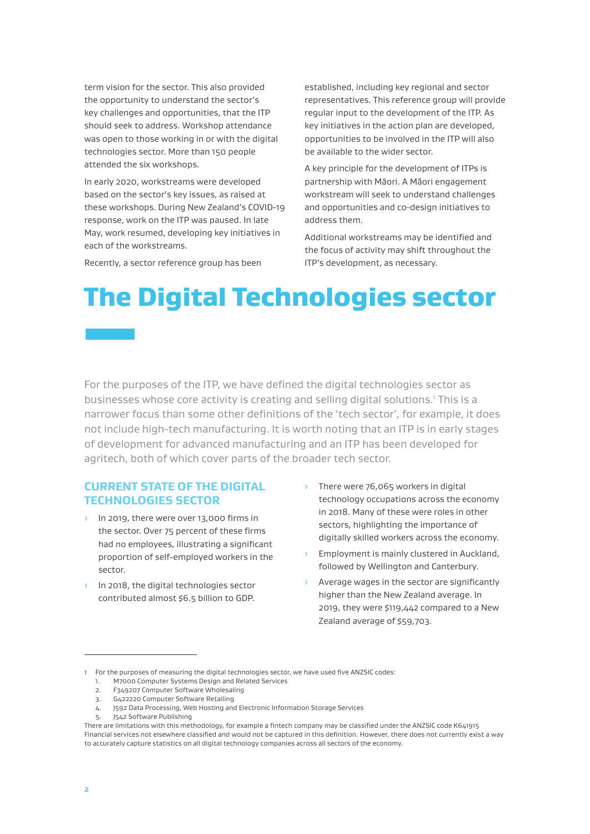term vision for the sector. This also provided the opportunity to understand the sector's key challenges and opportunities, that the ITP should seek to address. Workshop attendance was open to those working in or with the digital technologies sector. More than 150 people attended the six workshops.

In early 2020, workstreams were developed based on the sector's key issues, as raised at these workshops. During New Zealand's COVID-19 response, work on the ITP was paused. In late May, work resumed, developing key initiatives in each of the workstreams.

Recently, a sector reference group has been

established, including key regional and sector representatives. This reference group will provide regular input to the development of the ITP. As key initiatives in the action plan are developed, opportunities to be involved in the ITP will also be available to the wider sector.

A key principle for the development of ITPs is partnership with Māori. A Māori engagement workstream will seek to understand challenges and opportunities and co-design initiatives to address them.

Additional workstreams may be identified and the focus of activity may shift throughout the ITP's development, as necessary.

# The Digital Technologies sector

For the purposes of the ITP, we have defined the digital technologies sector as businesses whose core activity is creating and selling digital solutions.<sup>1</sup> This is a narrower focus than some other definitions of the 'tech sector', for example, it does not include high-tech manufacturing. It is worth noting that an ITP is in early stages of development for advanced manufacturing and an ITP has been developed for agritech, both of which cover parts of the broader tech sector.

## **CURRENT STATE OF THE DIGITAL TECHNOLOGIES SECTOR**

- <sup>3</sup> In 2019, there were over 13,000 firms in the sector. Over 75 percent of these firms had no employees, illustrating a significant proportion of self-employed workers in the sector.
- In 2018, the digital technologies sector contributed almost \$6.5 billion to GDP.
- There were 76,065 workers in digital technology occupations across the economy in 2018. Many of these were roles in other sectors, highlighting the importance of digitally skilled workers across the economy.
- › Employment is mainly clustered in Auckland, followed by Wellington and Canterbury.
- › Average wages in the sector are significantly higher than the New Zealand average. In 2019, they were \$119,442 compared to a New Zealand average of \$59,703.

<sup>1</sup> For the purposes of measuring the digital technologies sector, we have used five ANZSIC codes:

<sup>1.</sup> M7000 Computer Systems Design and Related Services<br> **1. FRAG207 Computer Software Wholesaling** 

<sup>2.</sup> F349207 Computer Software Wholesaling

<sup>3.</sup> G422220 Computer Software Retailing

<sup>4.</sup> J592 Data Processing, Web Hosting and Electronic Information Storage Services

<sup>5.</sup> J542 Software Publishing

There are limitations with this methodology, for example a fintech company may be classified under the ANZSIC code K641915 Financial services not elsewhere classified and would not be captured in this definition. However, there does not currently exist a way to accurately capture statistics on all digital technology companies across all sectors of the economy.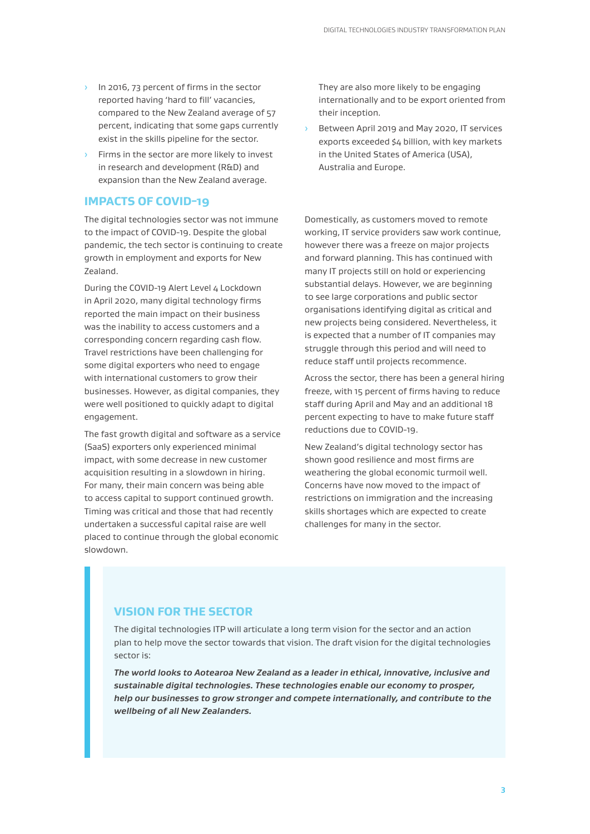- In 2016, 73 percent of firms in the sector reported having 'hard to fill' vacancies, compared to the New Zealand average of 57 percent, indicating that some gaps currently exist in the skills pipeline for the sector.
- Firms in the sector are more likely to invest in research and development (R&D) and expansion than the New Zealand average.

## **IMPACTS OF COVID-19**

The digital technologies sector was not immune to the impact of COVID-19. Despite the global pandemic, the tech sector is continuing to create growth in employment and exports for New Zealand.

During the COVID-19 Alert Level 4 Lockdown in April 2020, many digital technology firms reported the main impact on their business was the inability to access customers and a corresponding concern regarding cash flow. Travel restrictions have been challenging for some digital exporters who need to engage with international customers to grow their businesses. However, as digital companies, they were well positioned to quickly adapt to digital engagement.

The fast growth digital and software as a service (SaaS) exporters only experienced minimal impact, with some decrease in new customer acquisition resulting in a slowdown in hiring. For many, their main concern was being able to access capital to support continued growth. Timing was critical and those that had recently undertaken a successful capital raise are well placed to continue through the global economic slowdown.

They are also more likely to be engaging internationally and to be export oriented from their inception.

› Between April 2019 and May 2020, IT services exports exceeded \$4 billion, with key markets in the United States of America (USA), Australia and Europe.

Domestically, as customers moved to remote working, IT service providers saw work continue, however there was a freeze on major projects and forward planning. This has continued with many IT projects still on hold or experiencing substantial delays. However, we are beginning to see large corporations and public sector organisations identifying digital as critical and new projects being considered. Nevertheless, it is expected that a number of IT companies may struggle through this period and will need to reduce staff until projects recommence.

Across the sector, there has been a general hiring freeze, with 15 percent of firms having to reduce staff during April and May and an additional 18 percent expecting to have to make future staff reductions due to COVID-19.

New Zealand's digital technology sector has shown good resilience and most firms are weathering the global economic turmoil well. Concerns have now moved to the impact of restrictions on immigration and the increasing skills shortages which are expected to create challenges for many in the sector.

## **VISION FOR THE SECTOR**

The digital technologies ITP will articulate a long term vision for the sector and an action plan to help move the sector towards that vision. The draft vision for the digital technologies sector is:

*The world looks to Aotearoa New Zealand as a leader in ethical, innovative, inclusive and sustainable digital technologies. These technologies enable our economy to prosper, help our businesses to grow stronger and compete internationally, and contribute to the wellbeing of all New Zealanders.*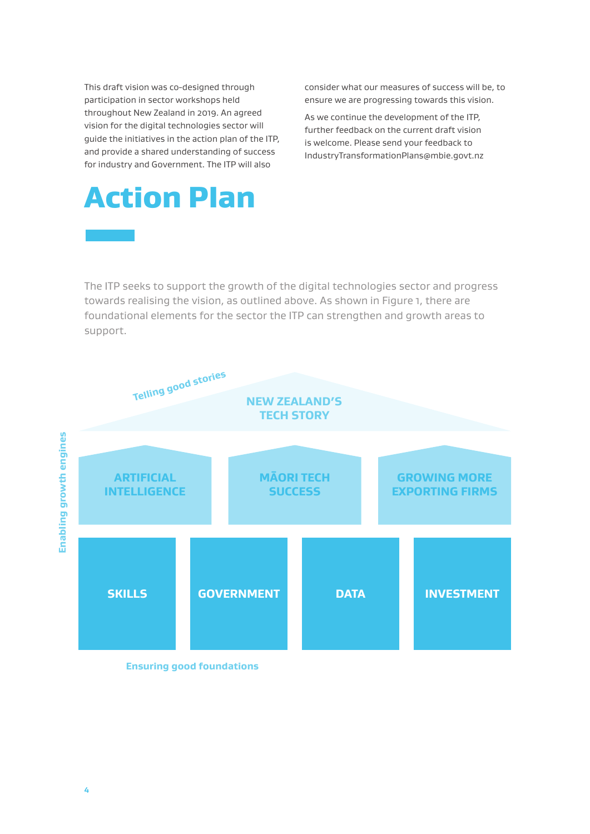This draft vision was co-designed through participation in sector workshops held throughout New Zealand in 2019. An agreed vision for the digital technologies sector will guide the initiatives in the action plan of the ITP, and provide a shared understanding of success for industry and Government. The ITP will also

Action Plan

consider what our measures of success will be, to ensure we are progressing towards this vision.

As we continue the development of the ITP, further feedback on the current draft vision is welcome. Please send your feedback to IndustryTransformationPlans@mbie.govt.nz

# The ITP seeks to support the growth of the digital technologies sector and progress towards realising the vision, as outlined above. As shown in Figure 1, there are foundational elements for the sector the ITP can strengthen and growth areas to support.



**Ensuring good foundations**

**4**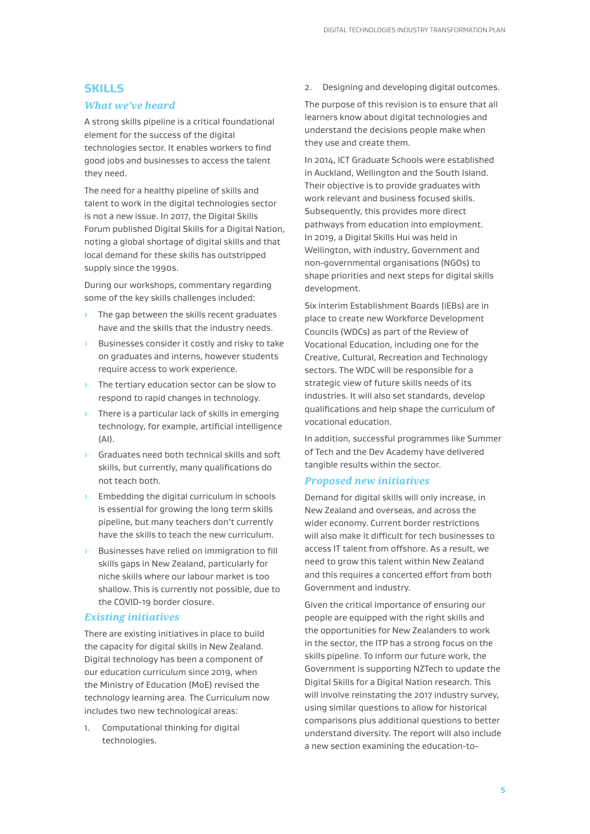## **SKILLS**

## *What we've heard*

A strong skills pipeline is a critical foundational element for the success of the digital technologies sector. It enables workers to find good jobs and businesses to access the talent they need.

The need for a healthy pipeline of skills and talent to work in the digital technologies sector is not a new issue. In 2017, the Digital Skills Forum published Digital Skills for a Digital Nation, noting a global shortage of digital skills and that local demand for these skills has outstripped supply since the 1990s.

During our workshops, commentary regarding some of the key skills challenges included:

- › The gap between the skills recent graduates have and the skills that the industry needs.
- Businesses consider it costly and risky to take on graduates and interns, however students require access to work experience.
- › The tertiary education sector can be slow to respond to rapid changes in technology.
- There is a particular lack of skills in emerging technology, for example, artificial intelligence (AI).
- › Graduates need both technical skills and soft skills, but currently, many qualifications do not teach both.
- **Embedding the digital curriculum in schools** is essential for growing the long term skills pipeline, but many teachers don't currently have the skills to teach the new curriculum.
- Businesses have relied on immigration to fill skills gaps in New Zealand, particularly for niche skills where our labour market is too shallow. This is currently not possible, due to the COVID-19 border closure.

### *Existing initiatives*

There are existing initiatives in place to build the capacity for digital skills in New Zealand. Digital technology has been a component of our education curriculum since 2019, when the Ministry of Education (MoE) revised the technology learning area. The Curriculum now includes two new technological areas:

1. Computational thinking for digital technologies.

2. Designing and developing digital outcomes.

The purpose of this revision is to ensure that all learners know about digital technologies and understand the decisions people make when they use and create them.

In 2014, ICT Graduate Schools were established in Auckland, Wellington and the South Island. Their objective is to provide graduates with work relevant and business focused skills. Subsequently, this provides more direct pathways from education into employment. In 2019, a Digital Skills Hui was held in Wellington, with industry, Government and non-governmental organisations (NGOs) to shape priorities and next steps for digital skills development.

Six interim Establishment Boards (iEBs) are in place to create new Workforce Development Councils (WDCs) as part of the Review of Vocational Education, including one for the Creative, Cultural, Recreation and Technology sectors. The WDC will be responsible for a strategic view of future skills needs of its industries. It will also set standards, develop qualifications and help shape the curriculum of vocational education.

In addition, successful programmes like Summer of Tech and the Dev Academy have delivered tangible results within the sector.

## *Proposed new initiatives*

Demand for digital skills will only increase, in New Zealand and overseas, and across the wider economy. Current border restrictions will also make it difficult for tech businesses to access IT talent from offshore. As a result, we need to grow this talent within New Zealand and this requires a concerted effort from both Government and industry.

Given the critical importance of ensuring our people are equipped with the right skills and the opportunities for New Zealanders to work in the sector, the ITP has a strong focus on the skills pipeline. To inform our future work, the Government is supporting NZTech to update the Digital Skills for a Digital Nation research. This will involve reinstating the 2017 industry survey, using similar questions to allow for historical comparisons plus additional questions to better understand diversity. The report will also include a new section examining the education-to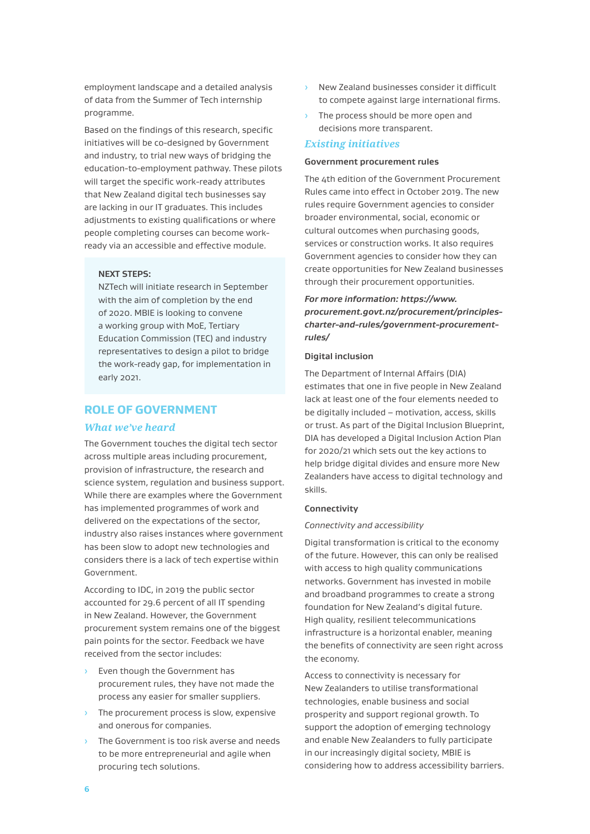employment landscape and a detailed analysis of data from the Summer of Tech internship programme.

Based on the findings of this research, specific initiatives will be co-designed by Government and industry, to trial new ways of bridging the education-to-employment pathway. These pilots will target the specific work-ready attributes that New Zealand digital tech businesses say are lacking in our IT graduates. This includes adjustments to existing qualifications or where people completing courses can become workready via an accessible and effective module.

#### **NEXT STEPS:**

NZTech will initiate research in September with the aim of completion by the end of 2020. MBIE is looking to convene a working group with MoE, Tertiary Education Commission (TEC) and industry representatives to design a pilot to bridge the work-ready gap, for implementation in early 2021.

## **ROLE OF GOVERNMENT**

#### *What we've heard*

The Government touches the digital tech sector across multiple areas including procurement, provision of infrastructure, the research and science system, regulation and business support. While there are examples where the Government has implemented programmes of work and delivered on the expectations of the sector, industry also raises instances where government has been slow to adopt new technologies and considers there is a lack of tech expertise within Government.

According to IDC, in 2019 the public sector accounted for 29.6 percent of all IT spending in New Zealand. However, the Government procurement system remains one of the biggest pain points for the sector. Feedback we have received from the sector includes:

- › Even though the Government has procurement rules, they have not made the process any easier for smaller suppliers.
- › The procurement process is slow, expensive and onerous for companies.
- › The Government is too risk averse and needs to be more entrepreneurial and agile when procuring tech solutions.
- New Zealand businesses consider it difficult to compete against large international firms.
- › The process should be more open and decisions more transparent.

#### *Existing initiatives*

#### **Government procurement rules**

The 4th edition of the Government Procurement Rules came into effect in October 2019. The new rules require Government agencies to consider broader environmental, social, economic or cultural outcomes when purchasing goods, services or construction works. It also requires Government agencies to consider how they can create opportunities for New Zealand businesses through their procurement opportunities.

## *For more information: https://www. procurement.govt.nz/procurement/principlescharter-and-rules/government-procurementrules/*

#### **Digital inclusion**

The Department of Internal Affairs (DIA) estimates that one in five people in New Zealand lack at least one of the four elements needed to be digitally included – motivation, access, skills or trust. As part of the Digital Inclusion Blueprint, DIA has developed a Digital Inclusion Action Plan for 2020/21 which sets out the key actions to help bridge digital divides and ensure more New Zealanders have access to digital technology and skills.

#### **Connectivity**

#### *Connectivity and accessibility*

Digital transformation is critical to the economy of the future. However, this can only be realised with access to high quality communications networks. Government has invested in mobile and broadband programmes to create a strong foundation for New Zealand's digital future. High quality, resilient telecommunications infrastructure is a horizontal enabler, meaning the benefits of connectivity are seen right across the economy.

Access to connectivity is necessary for New Zealanders to utilise transformational technologies, enable business and social prosperity and support regional growth. To support the adoption of emerging technology and enable New Zealanders to fully participate in our increasingly digital society, MBIE is considering how to address accessibility barriers.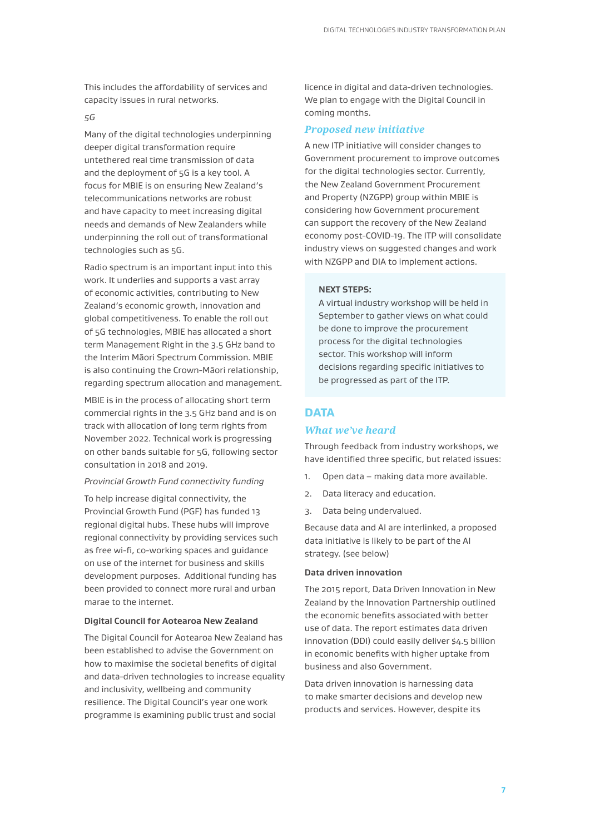This includes the affordability of services and capacity issues in rural networks.

#### *5G*

Many of the digital technologies underpinning deeper digital transformation require untethered real time transmission of data and the deployment of 5G is a key tool. A focus for MBIE is on ensuring New Zealand's telecommunications networks are robust and have capacity to meet increasing digital needs and demands of New Zealanders while underpinning the roll out of transformational technologies such as 5G.

Radio spectrum is an important input into this work. It underlies and supports a vast array of economic activities, contributing to New Zealand's economic growth, innovation and global competitiveness. To enable the roll out of 5G technologies, MBIE has allocated a short term Management Right in the 3.5 GHz band to the Interim Māori Spectrum Commission. MBIE is also continuing the Crown-Māori relationship, regarding spectrum allocation and management.

MBIE is in the process of allocating short term commercial rights in the 3.5 GHz band and is on track with allocation of long term rights from November 2022. Technical work is progressing on other bands suitable for 5G, following sector consultation in 2018 and 2019.

#### *Provincial Growth Fund connectivity funding*

To help increase digital connectivity, the Provincial Growth Fund (PGF) has funded 13 regional digital hubs. These hubs will improve regional connectivity by providing services such as free wi-fi, co-working spaces and guidance on use of the internet for business and skills development purposes. Additional funding has been provided to connect more rural and urban marae to the internet.

#### **Digital Council for Aotearoa New Zealand**

The Digital Council for Aotearoa New Zealand has been established to advise the Government on how to maximise the societal benefits of digital and data-driven technologies to increase equality and inclusivity, wellbeing and community resilience. The Digital Council's year one work programme is examining public trust and social

licence in digital and data-driven technologies. We plan to engage with the Digital Council in coming months.

#### *Proposed new initiative*

A new ITP initiative will consider changes to Government procurement to improve outcomes for the digital technologies sector. Currently, the New Zealand Government Procurement and Property (NZGPP) group within MBIE is considering how Government procurement can support the recovery of the New Zealand economy post-COVID-19. The ITP will consolidate industry views on suggested changes and work with NZGPP and DIA to implement actions.

#### **NEXT STEPS:**

A virtual industry workshop will be held in September to gather views on what could be done to improve the procurement process for the digital technologies sector. This workshop will inform decisions regarding specific initiatives to be progressed as part of the ITP.

## **DATA**

#### *What we've heard*

Through feedback from industry workshops, we have identified three specific, but related issues:

- 1. Open data making data more available.
- 2. Data literacy and education.
- 3. Data being undervalued.

Because data and AI are interlinked, a proposed data initiative is likely to be part of the AI strategy. (see below)

#### **Data driven innovation**

The 2015 report, Data Driven Innovation in New Zealand by the Innovation Partnership outlined the economic benefits associated with better use of data. The report estimates data driven innovation (DDI) could easily deliver \$4.5 billion in economic benefits with higher uptake from business and also Government.

Data driven innovation is harnessing data to make smarter decisions and develop new products and services. However, despite its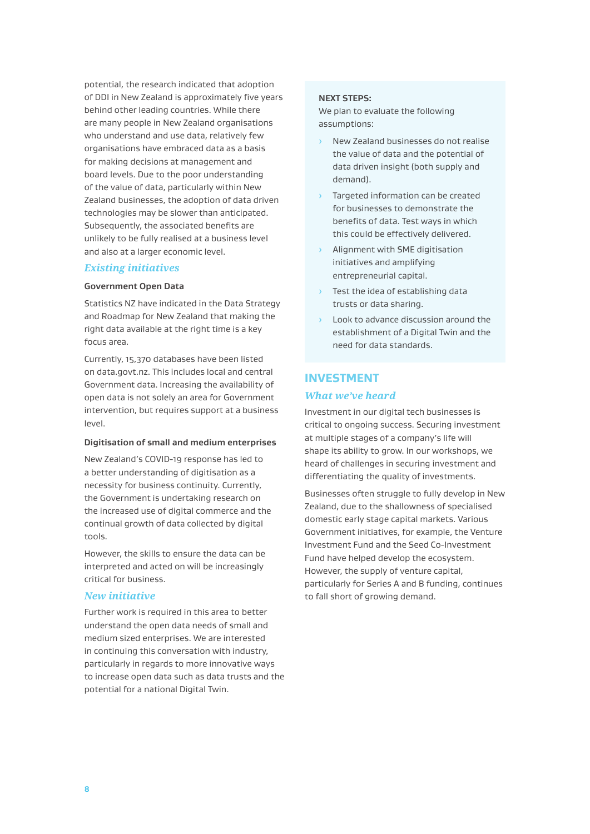potential, the research indicated that adoption of DDI in New Zealand is approximately five years behind other leading countries. While there are many people in New Zealand organisations who understand and use data, relatively few organisations have embraced data as a basis for making decisions at management and board levels. Due to the poor understanding of the value of data, particularly within New Zealand businesses, the adoption of data driven technologies may be slower than anticipated. Subsequently, the associated benefits are unlikely to be fully realised at a business level and also at a larger economic level.

### *Existing initiatives*

#### **Government Open Data**

Statistics NZ have indicated in the Data Strategy and Roadmap for New Zealand that making the right data available at the right time is a key focus area.

Currently, 15,370 databases have been listed on data.govt.nz. This includes local and central Government data. Increasing the availability of open data is not solely an area for Government intervention, but requires support at a business level.

#### **Digitisation of small and medium enterprises**

New Zealand's COVID-19 response has led to a better understanding of digitisation as a necessity for business continuity. Currently, the Government is undertaking research on the increased use of digital commerce and the continual growth of data collected by digital tools.

However, the skills to ensure the data can be interpreted and acted on will be increasingly critical for business.

#### *New initiative*

Further work is required in this area to better understand the open data needs of small and medium sized enterprises. We are interested in continuing this conversation with industry, particularly in regards to more innovative ways to increase open data such as data trusts and the potential for a national Digital Twin.

#### **NEXT STEPS:**

We plan to evaluate the following assumptions:

- › New Zealand businesses do not realise the value of data and the potential of data driven insight (both supply and demand).
- › Targeted information can be created for businesses to demonstrate the benefits of data. Test ways in which this could be effectively delivered.
- › Alignment with SME digitisation initiatives and amplifying entrepreneurial capital.
- Test the idea of establishing data trusts or data sharing.
- › Look to advance discussion around the establishment of a Digital Twin and the need for data standards.

# **INVESTMENT**

## *What we've heard*

Investment in our digital tech businesses is critical to ongoing success. Securing investment at multiple stages of a company's life will shape its ability to grow. In our workshops, we heard of challenges in securing investment and differentiating the quality of investments.

Businesses often struggle to fully develop in New Zealand, due to the shallowness of specialised domestic early stage capital markets. Various Government initiatives, for example, the Venture Investment Fund and the Seed Co-Investment Fund have helped develop the ecosystem. However, the supply of venture capital, particularly for Series A and B funding, continues to fall short of growing demand.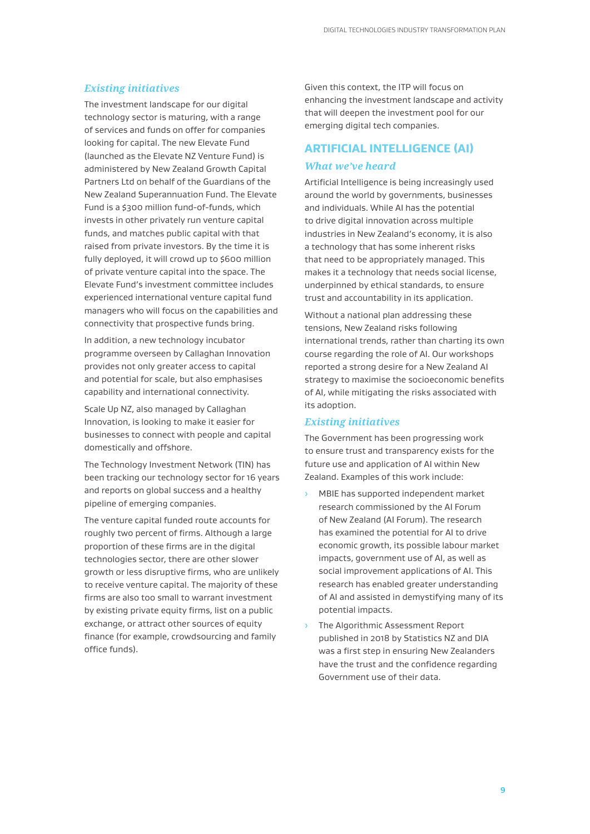#### *Existing initiatives*

The investment landscape for our digital technology sector is maturing, with a range of services and funds on offer for companies looking for capital. The new Elevate Fund (launched as the Elevate NZ Venture Fund) is administered by New Zealand Growth Capital Partners Ltd on behalf of the Guardians of the New Zealand Superannuation Fund. The Elevate Fund is a \$300 million fund-of-funds, which invests in other privately run venture capital funds, and matches public capital with that raised from private investors. By the time it is fully deployed, it will crowd up to \$600 million of private venture capital into the space. The Elevate Fund's investment committee includes experienced international venture capital fund managers who will focus on the capabilities and connectivity that prospective funds bring.

In addition, a new technology incubator programme overseen by Callaghan Innovation provides not only greater access to capital and potential for scale, but also emphasises capability and international connectivity.

Scale Up NZ, also managed by Callaghan Innovation, is looking to make it easier for businesses to connect with people and capital domestically and offshore.

The Technology Investment Network (TIN) has been tracking our technology sector for 16 years and reports on global success and a healthy pipeline of emerging companies.

The venture capital funded route accounts for roughly two percent of firms. Although a large proportion of these firms are in the digital technologies sector, there are other slower growth or less disruptive firms, who are unlikely to receive venture capital. The majority of these firms are also too small to warrant investment by existing private equity firms, list on a public exchange, or attract other sources of equity finance (for example, crowdsourcing and family office funds).

Given this context, the ITP will focus on enhancing the investment landscape and activity that will deepen the investment pool for our emerging digital tech companies.

## **ARTIFICIAL INTELLIGENCE (AI)**

#### *What we've heard*

Artificial Intelligence is being increasingly used around the world by governments, businesses and individuals. While AI has the potential to drive digital innovation across multiple industries in New Zealand's economy, it is also a technology that has some inherent risks that need to be appropriately managed. This makes it a technology that needs social license, underpinned by ethical standards, to ensure trust and accountability in its application.

Without a national plan addressing these tensions, New Zealand risks following international trends, rather than charting its own course regarding the role of AI. Our workshops reported a strong desire for a New Zealand AI strategy to maximise the socioeconomic benefits of AI, while mitigating the risks associated with its adoption.

#### *Existing initiatives*

The Government has been progressing work to ensure trust and transparency exists for the future use and application of AI within New Zealand. Examples of this work include:

- › MBIE has supported independent market research commissioned by the AI Forum of New Zealand (AI Forum). The research has examined the potential for AI to drive economic growth, its possible labour market impacts, government use of AI, as well as social improvement applications of AI. This research has enabled greater understanding of AI and assisted in demystifying many of its potential impacts.
- The Algorithmic Assessment Report published in 2018 by Statistics NZ and DIA was a first step in ensuring New Zealanders have the trust and the confidence regarding Government use of their data.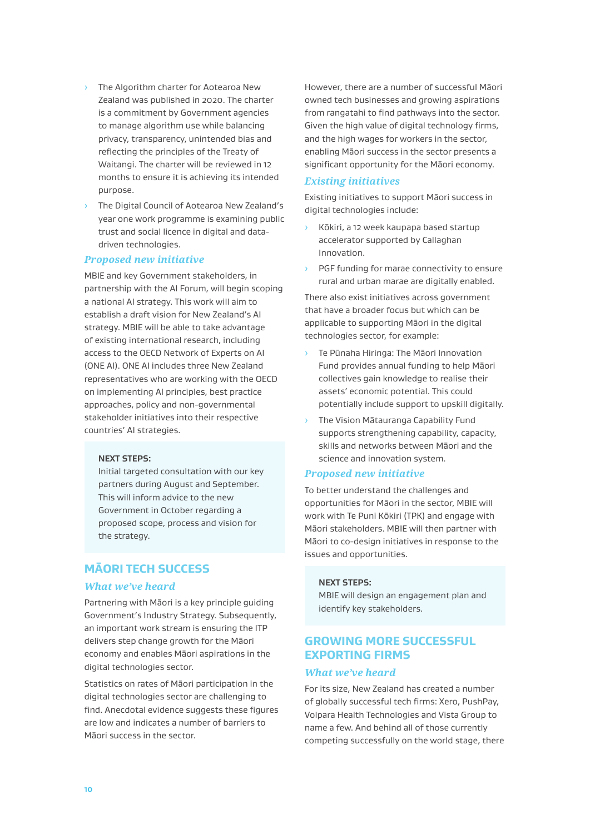- The Algorithm charter for Aotearoa New Zealand was published in 2020. The charter is a commitment by Government agencies to manage algorithm use while balancing privacy, transparency, unintended bias and reflecting the principles of the Treaty of Waitangi. The charter will be reviewed in 12 months to ensure it is achieving its intended purpose.
- › The Digital Council of Aotearoa New Zealand's year one work programme is examining public trust and social licence in digital and datadriven technologies.

#### *Proposed new initiative*

MBIE and key Government stakeholders, in partnership with the AI Forum, will begin scoping a national AI strategy. This work will aim to establish a draft vision for New Zealand's AI strategy. MBIE will be able to take advantage of existing international research, including access to the OECD Network of Experts on AI (ONE AI). ONE AI includes three New Zealand representatives who are working with the OECD on implementing AI principles, best practice approaches, policy and non-governmental stakeholder initiatives into their respective countries' AI strategies.

#### **NEXT STEPS:**

Initial targeted consultation with our key partners during August and September. This will inform advice to the new Government in October regarding a proposed scope, process and vision for the strategy.

## **MĀORI TECH SUCCESS**

#### *What we've heard*

Partnering with Māori is a key principle guiding Government's Industry Strategy. Subsequently, an important work stream is ensuring the ITP delivers step change growth for the Māori economy and enables Māori aspirations in the digital technologies sector.

Statistics on rates of Māori participation in the digital technologies sector are challenging to find. Anecdotal evidence suggests these figures are low and indicates a number of barriers to Māori success in the sector.

However, there are a number of successful Māori owned tech businesses and growing aspirations from rangatahi to find pathways into the sector. Given the high value of digital technology firms, and the high wages for workers in the sector, enabling Māori success in the sector presents a significant opportunity for the Māori economy.

#### *Existing initiatives*

Existing initiatives to support Māori success in digital technologies include:

- Kōkiri, a 12 week kaupapa based startup accelerator supported by Callaghan Innovation.
- PGF funding for marae connectivity to ensure rural and urban marae are digitally enabled.

There also exist initiatives across government that have a broader focus but which can be applicable to supporting Māori in the digital technologies sector, for example:

- Te Pūnaha Hiringa: The Māori Innovation Fund provides annual funding to help Māori collectives gain knowledge to realise their assets' economic potential. This could potentially include support to upskill digitally.
- The Vision Mātauranga Capability Fund supports strengthening capability, capacity, skills and networks between Māori and the science and innovation system.

#### *Proposed new initiative*

To better understand the challenges and opportunities for Māori in the sector, MBIE will work with Te Puni Kōkiri (TPK) and engage with Māori stakeholders. MBIE will then partner with Māori to co-design initiatives in response to the issues and opportunities.

#### **NEXT STEPS:**

MBIE will design an engagement plan and identify key stakeholders.

## **GROWING MORE SUCCESSFUL EXPORTING FIRMS**

#### *What we've heard*

For its size, New Zealand has created a number of globally successful tech firms: Xero, PushPay, Volpara Health Technologies and Vista Group to name a few. And behind all of those currently competing successfully on the world stage, there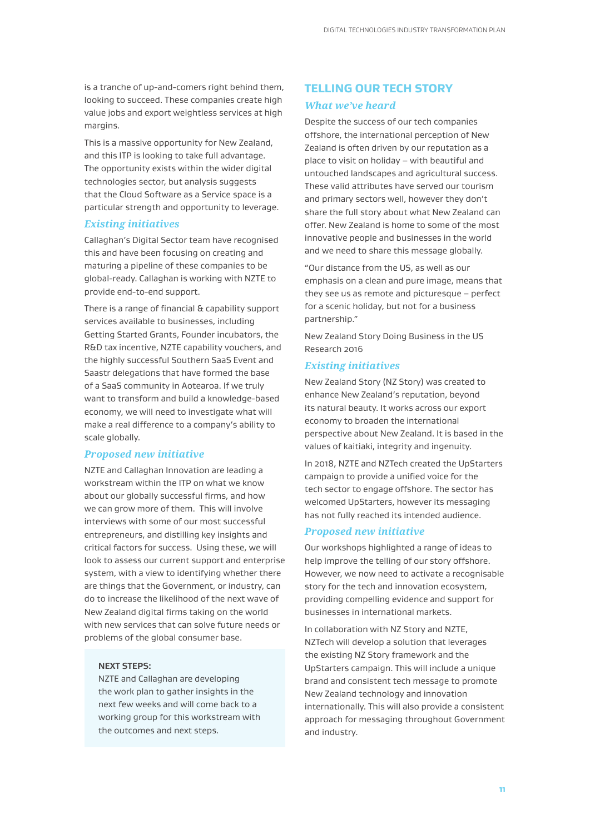is a tranche of up-and-comers right behind them, looking to succeed. These companies create high value jobs and export weightless services at high margins.

This is a massive opportunity for New Zealand, and this ITP is looking to take full advantage. The opportunity exists within the wider digital technologies sector, but analysis suggests that the Cloud Software as a Service space is a particular strength and opportunity to leverage.

### *Existing initiatives*

Callaghan's Digital Sector team have recognised this and have been focusing on creating and maturing a pipeline of these companies to be global-ready. Callaghan is working with NZTE to provide end-to-end support.

There is a range of financial & capability support services available to businesses, including Getting Started Grants, Founder incubators, the R&D tax incentive, NZTE capability vouchers, and the highly successful Southern SaaS Event and Saastr delegations that have formed the base of a SaaS community in Aotearoa. If we truly want to transform and build a knowledge-based economy, we will need to investigate what will make a real difference to a company's ability to scale globally.

#### *Proposed new initiative*

NZTE and Callaghan Innovation are leading a workstream within the ITP on what we know about our globally successful firms, and how we can grow more of them. This will involve interviews with some of our most successful entrepreneurs, and distilling key insights and critical factors for success. Using these, we will look to assess our current support and enterprise system, with a view to identifying whether there are things that the Government, or industry, can do to increase the likelihood of the next wave of New Zealand digital firms taking on the world with new services that can solve future needs or problems of the global consumer base.

#### **NEXT STEPS:**

NZTE and Callaghan are developing the work plan to gather insights in the next few weeks and will come back to a working group for this workstream with the outcomes and next steps.

# **TELLING OUR TECH STORY** *What we've heard*

Despite the success of our tech companies offshore, the international perception of New Zealand is often driven by our reputation as a place to visit on holiday – with beautiful and untouched landscapes and agricultural success. These valid attributes have served our tourism and primary sectors well, however they don't share the full story about what New Zealand can offer. New Zealand is home to some of the most innovative people and businesses in the world and we need to share this message globally.

"Our distance from the US, as well as our emphasis on a clean and pure image, means that they see us as remote and picturesque – perfect for a scenic holiday, but not for a business partnership."

New Zealand Story Doing Business in the US Research 2016

#### *Existing initiatives*

New Zealand Story (NZ Story) was created to enhance New Zealand's reputation, beyond its natural beauty. It works across our export economy to broaden the international perspective about New Zealand. It is based in the values of kaitiaki, integrity and ingenuity.

In 2018, NZTE and NZTech created the UpStarters campaign to provide a unified voice for the tech sector to engage offshore. The sector has welcomed UpStarters, however its messaging has not fully reached its intended audience.

#### *Proposed new initiative*

Our workshops highlighted a range of ideas to help improve the telling of our story offshore. However, we now need to activate a recognisable story for the tech and innovation ecosystem, providing compelling evidence and support for businesses in international markets.

In collaboration with NZ Story and NZTE, NZTech will develop a solution that leverages the existing NZ Story framework and the UpStarters campaign. This will include a unique brand and consistent tech message to promote New Zealand technology and innovation internationally. This will also provide a consistent approach for messaging throughout Government and industry.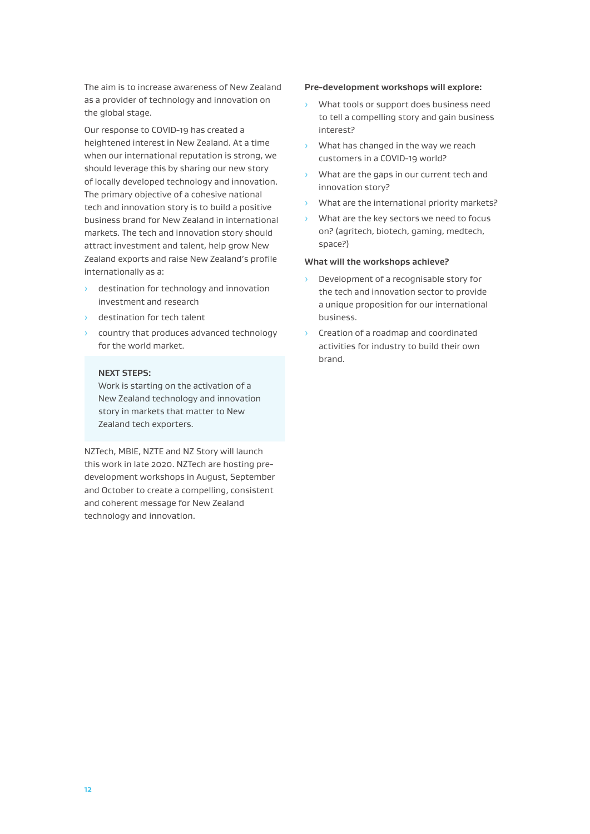The aim is to increase awareness of New Zealand as a provider of technology and innovation on the global stage.

Our response to COVID-19 has created a heightened interest in New Zealand. At a time when our international reputation is strong, we should leverage this by sharing our new story of locally developed technology and innovation. The primary objective of a cohesive national tech and innovation story is to build a positive business brand for New Zealand in international markets. The tech and innovation story should attract investment and talent, help grow New Zealand exports and raise New Zealand's profile internationally as a:

- destination for technology and innovation investment and research
- › destination for tech talent
- › country that produces advanced technology for the world market.

#### **NEXT STEPS:**

Work is starting on the activation of a New Zealand technology and innovation story in markets that matter to New Zealand tech exporters.

NZTech, MBIE, NZTE and NZ Story will launch this work in late 2020. NZTech are hosting predevelopment workshops in August, September and October to create a compelling, consistent and coherent message for New Zealand technology and innovation.

#### **Pre-development workshops will explore:**

- › What tools or support does business need to tell a compelling story and gain business interest?
- › What has changed in the way we reach customers in a COVID-19 world?
- › What are the gaps in our current tech and innovation story?
- › What are the international priority markets?
- › What are the key sectors we need to focus on? (agritech, biotech, gaming, medtech, space?)

#### **What will the workshops achieve?**

- Development of a recognisable story for the tech and innovation sector to provide a unique proposition for our international business.
- › Creation of a roadmap and coordinated activities for industry to build their own brand.